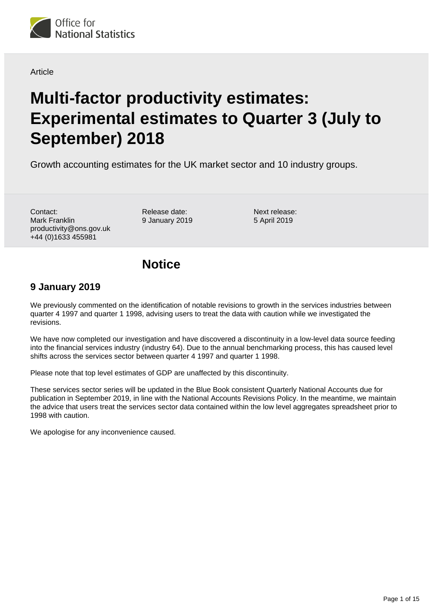

## Article

# **Multi-factor productivity estimates: Experimental estimates to Quarter 3 (July to September) 2018**

Growth accounting estimates for the UK market sector and 10 industry groups.

Contact: Mark Franklin productivity@ons.gov.uk +44 (0)1633 455981

Release date: 9 January 2019

Next release: 5 April 2019

# **Notice**

## **9 January 2019**

We previously commented on the identification of notable revisions to growth in the services industries between quarter 4 1997 and quarter 1 1998, advising users to treat the data with caution while we investigated the revisions.

We have now completed our investigation and have discovered a discontinuity in a low-level data source feeding into the financial services industry (industry 64). Due to the annual benchmarking process, this has caused level shifts across the services sector between quarter 4 1997 and quarter 1 1998.

Please note that top level estimates of GDP are unaffected by this discontinuity.

These services sector series will be updated in the Blue Book consistent Quarterly National Accounts due for publication in September 2019, in line with the National Accounts Revisions Policy. In the meantime, we maintain the advice that users treat the services sector data contained within the low level aggregates spreadsheet prior to 1998 with caution.

We apologise for any inconvenience caused.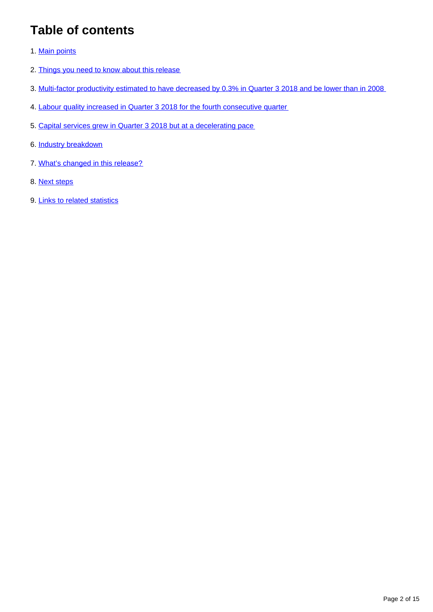# **Table of contents**

- 1. [Main points](#page-2-0)
- 2. [Things you need to know about this release](#page-2-1)
- 3. [Multi-factor productivity estimated to have decreased by 0.3% in Quarter 3 2018 and be lower than in 2008](#page-3-0)
- 4. [Labour quality increased in Quarter 3 2018 for the fourth consecutive quarter](#page-6-0)
- 5. [Capital services grew in Quarter 3 2018 but at a decelerating pace](#page-8-0)
- 6. [Industry breakdown](#page-9-0)
- 7. [What's changed in this release?](#page-10-0)
- 8. [Next steps](#page-12-0)
- 9. [Links to related statistics](#page-12-1)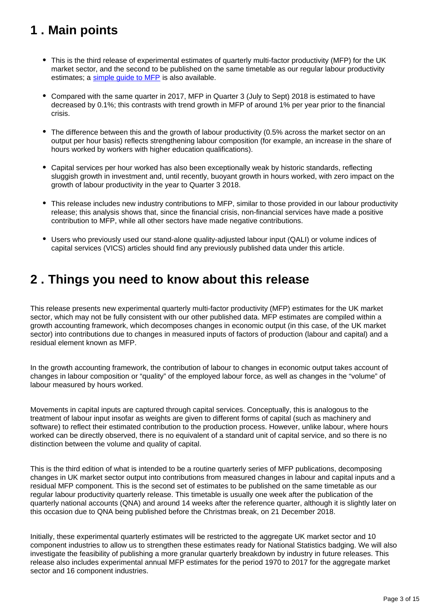# <span id="page-2-0"></span>**1 . Main points**

- This is the third release of experimental estimates of quarterly multi-factor productivity (MFP) for the UK market sector, and the second to be published on the same timetable as our regular labour productivity estimates; a [simple guide to MFP](https://www.ons.gov.uk/economy/economicoutputandproductivity/productivitymeasures/methodologies/asimpleguidetomultifactorproductivity) is also available.
- Compared with the same quarter in 2017, MFP in Quarter 3 (July to Sept) 2018 is estimated to have decreased by 0.1%; this contrasts with trend growth in MFP of around 1% per year prior to the financial crisis.
- The difference between this and the growth of labour productivity (0.5% across the market sector on an output per hour basis) reflects strengthening labour composition (for example, an increase in the share of hours worked by workers with higher education qualifications).
- Capital services per hour worked has also been exceptionally weak by historic standards, reflecting sluggish growth in investment and, until recently, buoyant growth in hours worked, with zero impact on the growth of labour productivity in the year to Quarter 3 2018.
- This release includes new industry contributions to MFP, similar to those provided in our labour productivity release; this analysis shows that, since the financial crisis, non-financial services have made a positive contribution to MFP, while all other sectors have made negative contributions.
- Users who previously used our stand-alone quality-adjusted labour input (QALI) or volume indices of capital services (VICS) articles should find any previously published data under this article.

# <span id="page-2-1"></span>**2 . Things you need to know about this release**

This release presents new experimental quarterly multi-factor productivity (MFP) estimates for the UK market sector, which may not be fully consistent with our other published data. MFP estimates are compiled within a growth accounting framework, which decomposes changes in economic output (in this case, of the UK market sector) into contributions due to changes in measured inputs of factors of production (labour and capital) and a residual element known as MFP.

In the growth accounting framework, the contribution of labour to changes in economic output takes account of changes in labour composition or "quality" of the employed labour force, as well as changes in the "volume" of labour measured by hours worked.

Movements in capital inputs are captured through capital services. Conceptually, this is analogous to the treatment of labour input insofar as weights are given to different forms of capital (such as machinery and software) to reflect their estimated contribution to the production process. However, unlike labour, where hours worked can be directly observed, there is no equivalent of a standard unit of capital service, and so there is no distinction between the volume and quality of capital.

This is the third edition of what is intended to be a routine quarterly series of MFP publications, decomposing changes in UK market sector output into contributions from measured changes in labour and capital inputs and a residual MFP component. This is the second set of estimates to be published on the same timetable as our regular labour productivity quarterly release. This timetable is usually one week after the publication of the quarterly national accounts (QNA) and around 14 weeks after the reference quarter, although it is slightly later on this occasion due to QNA being published before the Christmas break, on 21 December 2018.

Initially, these experimental quarterly estimates will be restricted to the aggregate UK market sector and 10 component industries to allow us to strengthen these estimates ready for National Statistics badging. We will also investigate the feasibility of publishing a more granular quarterly breakdown by industry in future releases. This release also includes experimental annual MFP estimates for the period 1970 to 2017 for the aggregate market sector and 16 component industries.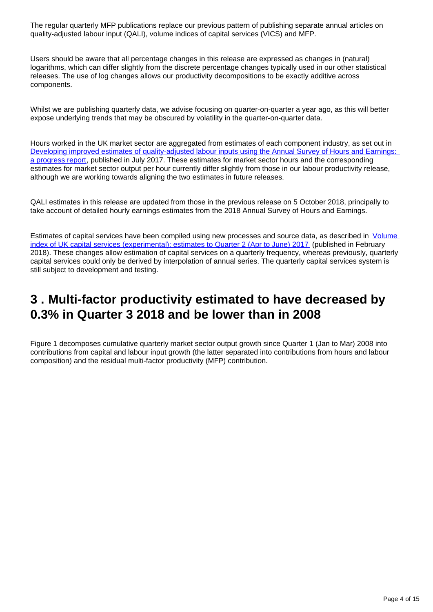The regular quarterly MFP publications replace our previous pattern of publishing separate annual articles on quality-adjusted labour input (QALI), volume indices of capital services (VICS) and MFP.

Users should be aware that all percentage changes in this release are expressed as changes in (natural) logarithms, which can differ slightly from the discrete percentage changes typically used in our other statistical releases. The use of log changes allows our productivity decompositions to be exactly additive across components.

Whilst we are publishing quarterly data, we advise focusing on quarter-on-quarter a year ago, as this will better expose underlying trends that may be obscured by volatility in the quarter-on-quarter data.

Hours worked in the UK market sector are aggregated from estimates of each component industry, as set out in Developing improved estimates of quality-adjusted labour inputs using the Annual Survey of Hours and Earnings: [a progress report](https://www.ons.gov.uk/economy/economicoutputandproductivity/productivitymeasures/articles/developingimprovedestimatesofqualityadjustedlabourinputsusingtheannualsurveyofhoursandearnings/aprogressreport), published in July 2017. These estimates for market sector hours and the corresponding estimates for market sector output per hour currently differ slightly from those in our labour productivity release, although we are working towards aligning the two estimates in future releases.

QALI estimates in this release are updated from those in the previous release on 5 October 2018, principally to take account of detailed hourly earnings estimates from the 2018 Annual Survey of Hours and Earnings.

Estimates of capital services have been compiled using new processes and source data, as described in Volume [index of UK capital services \(experimental\): estimates to Quarter 2 \(Apr to June\) 2017](https://www.ons.gov.uk/economy/economicoutputandproductivity/output/articles/volumeindexofukcapitalservicesexperimental/estimatestoquarter2aprtojune2017) (published in February 2018). These changes allow estimation of capital services on a quarterly frequency, whereas previously, quarterly capital services could only be derived by interpolation of annual series. The quarterly capital services system is still subject to development and testing.

# <span id="page-3-0"></span>**3 . Multi-factor productivity estimated to have decreased by 0.3% in Quarter 3 2018 and be lower than in 2008**

Figure 1 decomposes cumulative quarterly market sector output growth since Quarter 1 (Jan to Mar) 2008 into contributions from capital and labour input growth (the latter separated into contributions from hours and labour composition) and the residual multi-factor productivity (MFP) contribution.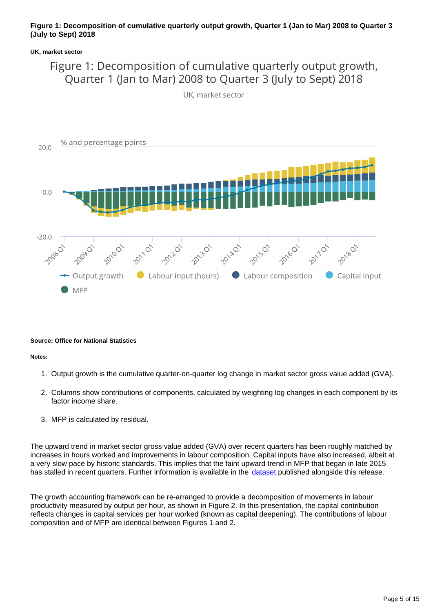### **Figure 1: Decomposition of cumulative quarterly output growth, Quarter 1 (Jan to Mar) 2008 to Quarter 3 (July to Sept) 2018**

### **UK, market sector**

# Figure 1: Decomposition of cumulative quarterly output growth, Quarter 1 (Jan to Mar) 2008 to Quarter 3 (July to Sept) 2018





#### **Source: Office for National Statistics**

#### **Notes:**

- 1. Output growth is the cumulative quarter-on-quarter log change in market sector gross value added (GVA).
- 2. Columns show contributions of components, calculated by weighting log changes in each component by its factor income share
- 3. MFP is calculated by residual.

The upward trend in market sector gross value added (GVA) over recent quarters has been roughly matched by increases in hours worked and improvements in labour composition. Capital inputs have also increased, albeit at a very slow pace by historic standards. This implies that the faint upward trend in MFP that began in late 2015 has stalled in recent quarters. Further information is available in the [dataset](https://publishing.ons.gov.uk/economy/economicoutputandproductivity/productivitymeasures/datasets/multifactorproductivityexperimentalestimatesreferencetables) published alongside this release.

The growth accounting framework can be re-arranged to provide a decomposition of movements in labour productivity measured by output per hour, as shown in Figure 2. In this presentation, the capital contribution reflects changes in capital services per hour worked (known as capital deepening). The contributions of labour composition and of MFP are identical between Figures 1 and 2.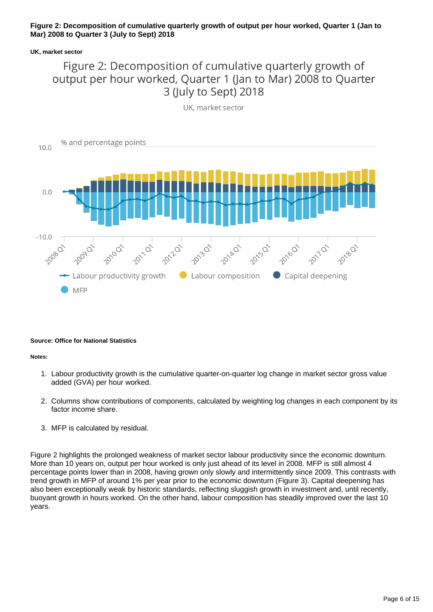## **Figure 2: Decomposition of cumulative quarterly growth of output per hour worked, Quarter 1 (Jan to Mar) 2008 to Quarter 3 (July to Sept) 2018**

### **UK, market sector**

## Figure 2: Decomposition of cumulative quarterly growth of output per hour worked, Quarter 1 (Jan to Mar) 2008 to Quarter 3 (July to Sept) 2018



#### **Source: Office for National Statistics**

#### **Notes:**

- 1. Labour productivity growth is the cumulative quarter-on-quarter log change in market sector gross value added (GVA) per hour worked.
- 2. Columns show contributions of components, calculated by weighting log changes in each component by its factor income share.
- 3. MFP is calculated by residual.

Figure 2 highlights the prolonged weakness of market sector labour productivity since the economic downturn. More than 10 years on, output per hour worked is only just ahead of its level in 2008. MFP is still almost 4 percentage points lower than in 2008, having grown only slowly and intermittently since 2009. This contrasts with trend growth in MFP of around 1% per year prior to the economic downturn (Figure 3). Capital deepening has also been exceptionally weak by historic standards, reflecting sluggish growth in investment and, until recently, buoyant growth in hours worked. On the other hand, labour composition has steadily improved over the last 10 years.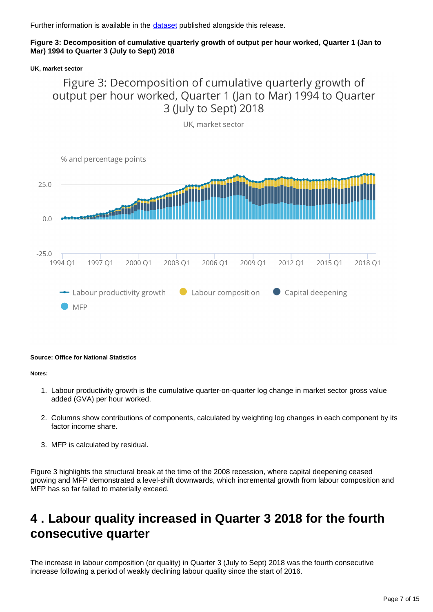Further information is available in the [dataset](https://publishing.ons.gov.uk/economy/economicoutputandproductivity/productivitymeasures/datasets/multifactorproductivityexperimentalestimatesreferencetables) published alongside this release.

## **Figure 3: Decomposition of cumulative quarterly growth of output per hour worked, Quarter 1 (Jan to Mar) 1994 to Quarter 3 (July to Sept) 2018**

**UK, market sector**

## Figure 3: Decomposition of cumulative quarterly growth of output per hour worked, Quarter 1 (Jan to Mar) 1994 to Quarter 3 (July to Sept) 2018



### **Source: Office for National Statistics**

### **Notes:**

- 1. Labour productivity growth is the cumulative quarter-on-quarter log change in market sector gross value added (GVA) per hour worked.
- 2. Columns show contributions of components, calculated by weighting log changes in each component by its factor income share.
- 3. MFP is calculated by residual.

Figure 3 highlights the structural break at the time of the 2008 recession, where capital deepening ceased growing and MFP demonstrated a level-shift downwards, which incremental growth from labour composition and MFP has so far failed to materially exceed.

# <span id="page-6-0"></span>**4 . Labour quality increased in Quarter 3 2018 for the fourth consecutive quarter**

The increase in labour composition (or quality) in Quarter 3 (July to Sept) 2018 was the fourth consecutive increase following a period of weakly declining labour quality since the start of 2016.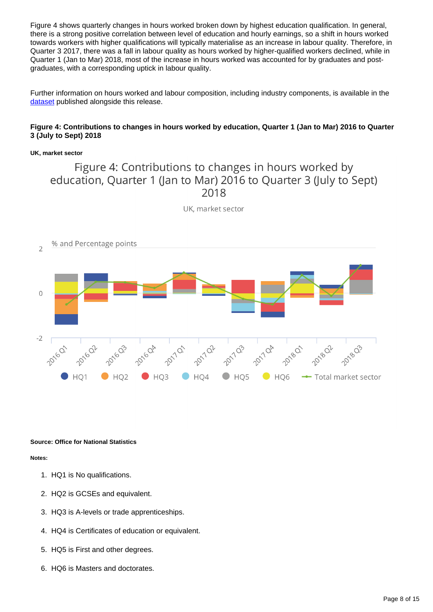Figure 4 shows quarterly changes in hours worked broken down by highest education qualification. In general, there is a strong positive correlation between level of education and hourly earnings, so a shift in hours worked towards workers with higher qualifications will typically materialise as an increase in labour quality. Therefore, in Quarter 3 2017, there was a fall in labour quality as hours worked by higher-qualified workers declined, while in Quarter 1 (Jan to Mar) 2018, most of the increase in hours worked was accounted for by graduates and postgraduates, with a corresponding uptick in labour quality.

Further information on hours worked and labour composition, including industry components, is available in the [dataset](https://publishing.ons.gov.uk/economy/economicoutputandproductivity/productivitymeasures/datasets/multifactorproductivityexperimentalestimatesreferencetables) published alongside this release.

### **Figure 4: Contributions to changes in hours worked by education, Quarter 1 (Jan to Mar) 2016 to Quarter 3 (July to Sept) 2018**

### **UK, market sector**

## Figure 4: Contributions to changes in hours worked by education, Quarter 1 (Jan to Mar) 2016 to Quarter 3 (July to Sept) 2018



UK, market sector

#### **Source: Office for National Statistics**

#### **Notes:**

- 1. HQ1 is No qualifications.
- 2. HQ2 is GCSEs and equivalent.
- 3. HQ3 is A-levels or trade apprenticeships.
- 4. HQ4 is Certificates of education or equivalent.
- 5. HQ5 is First and other degrees.
- 6. HQ6 is Masters and doctorates.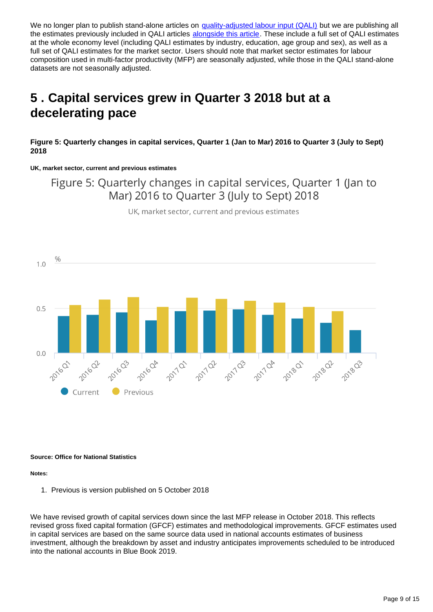We no longer plan to publish stand-alone articles on [quality-adjusted labour input \(QALI\)](https://www.ons.gov.uk/economy/economicoutputandproductivity/productivitymeasures/articles/qualityadjustedlabourinput/ukestimatesto2016) but we are publishing all the estimates previously included in QALI articles [alongside this article](https://www.ons.gov.uk/economy/economicoutputandproductivity/productivitymeasures/articles/multifactorproductivityestimates/experimentalestimatestoquarter2apriltojune2018/relateddata). These include a full set of QALI estimates at the whole economy level (including QALI estimates by industry, education, age group and sex), as well as a full set of QALI estimates for the market sector. Users should note that market sector estimates for labour composition used in multi-factor productivity (MFP) are seasonally adjusted, while those in the QALI stand-alone datasets are not seasonally adjusted.

# <span id="page-8-0"></span>**5 . Capital services grew in Quarter 3 2018 but at a decelerating pace**

**Figure 5: Quarterly changes in capital services, Quarter 1 (Jan to Mar) 2016 to Quarter 3 (July to Sept) 2018**

**UK, market sector, current and previous estimates**

Figure 5: Quarterly changes in capital services, Quarter 1 (Jan to Mar) 2016 to Quarter 3 (July to Sept) 2018

UK, market sector, current and previous estimates



#### **Source: Office for National Statistics**

#### **Notes:**

1. Previous is version published on 5 October 2018

We have revised growth of capital services down since the last MFP release in October 2018. This reflects revised gross fixed capital formation (GFCF) estimates and methodological improvements. GFCF estimates used in capital services are based on the same source data used in national accounts estimates of business investment, although the breakdown by asset and industry anticipates improvements scheduled to be introduced into the national accounts in Blue Book 2019.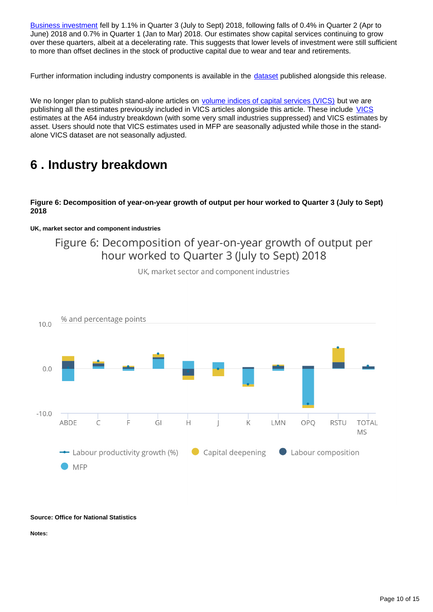[Business investment](https://www.ons.gov.uk/economy/grossdomesticproductgdp/bulletins/businessinvestment/julytoseptember2018revisedresults) fell by 1.1% in Quarter 3 (July to Sept) 2018, following falls of 0.4% in Quarter 2 (Apr to June) 2018 and 0.7% in Quarter 1 (Jan to Mar) 2018. Our estimates show capital services continuing to grow over these quarters, albeit at a decelerating rate. This suggests that lower levels of investment were still sufficient to more than offset declines in the stock of productive capital due to wear and tear and retirements.

Further information including industry components is available in the [dataset](https://www.ons.gov.uk/economy/economicoutputandproductivity/productivitymeasures/datasets/multifactorproductivityexperimentalestimatesreferencetables) published alongside this release.

We no longer plan to publish stand-alone articles on [volume indices of capital services \(VICS\)](https://www.ons.gov.uk/economy/economicoutputandproductivity/output/articles/volumeindexofukcapitalservicesexperimental/estimatestoquarter2aprtojune2017) but we are publishing all the estimates previously included in VICS articles alongside this article. These include [VICS](https://www.ons.gov.uk/economy/economicoutputandproductivity/output/datasets/capitalservicesestimates) estimates at the A64 industry breakdown (with some very small industries suppressed) and VICS estimates by asset. Users should note that VICS estimates used in MFP are seasonally adjusted while those in the standalone VICS dataset are not seasonally adjusted.

# <span id="page-9-0"></span>**6 . Industry breakdown**

### **Figure 6: Decomposition of year-on-year growth of output per hour worked to Quarter 3 (July to Sept) 2018**

### **UK, market sector and component industries**

## Figure 6: Decomposition of year-on-year growth of output per hour worked to Quarter 3 (July to Sept) 2018

![](_page_9_Figure_7.jpeg)

UK, market sector and component industries

## **Source: Office for National Statistics**

**Notes:**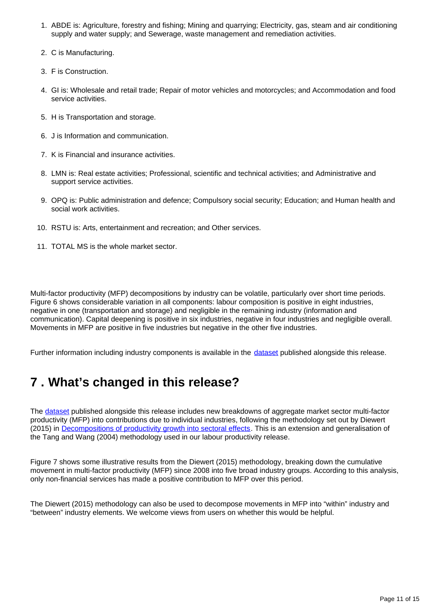- 1. ABDE is: Agriculture, forestry and fishing; Mining and quarrying; Electricity, gas, steam and air conditioning supply and water supply; and Sewerage, waste management and remediation activities.
- 2. C is Manufacturing.
- 3. F is Construction.
- 4. GI is: Wholesale and retail trade; Repair of motor vehicles and motorcycles; and Accommodation and food service activities.
- 5. H is Transportation and storage.
- 6. J is Information and communication.
- 7. K is Financial and insurance activities.
- 8. LMN is: Real estate activities; Professional, scientific and technical activities; and Administrative and support service activities.
- 9. OPQ is: Public administration and defence; Compulsory social security; Education; and Human health and social work activities.
- 10. RSTU is: Arts, entertainment and recreation; and Other services.
- 11. TOTAL MS is the whole market sector.

Multi-factor productivity (MFP) decompositions by industry can be volatile, particularly over short time periods. Figure 6 shows considerable variation in all components: labour composition is positive in eight industries, negative in one (transportation and storage) and negligible in the remaining industry (information and communication). Capital deepening is positive in six industries, negative in four industries and negligible overall. Movements in MFP are positive in five industries but negative in the other five industries.

Further information including industry components is available in the **dataset** published alongside this release.

# <span id="page-10-0"></span>**7 . What's changed in this release?**

The [dataset](https://publishing.ons.gov.uk/economy/economicoutputandproductivity/productivitymeasures/datasets/multifactorproductivityexperimentalestimatesreferencetables) published alongside this release includes new breakdowns of aggregate market sector multi-factor productivity (MFP) into contributions due to individual industries, following the methodology set out by Diewert (2015) in [Decompositions of productivity growth into sectoral effects.](https://link.springer.com/article/10.1007/s11123-014-0392-0) This is an extension and generalisation of the Tang and Wang (2004) methodology used in our labour productivity release.

Figure 7 shows some illustrative results from the Diewert (2015) methodology, breaking down the cumulative movement in multi-factor productivity (MFP) since 2008 into five broad industry groups. According to this analysis, only non-financial services has made a positive contribution to MFP over this period.

The Diewert (2015) methodology can also be used to decompose movements in MFP into "within" industry and "between" industry elements. We welcome views from users on whether this would be helpful.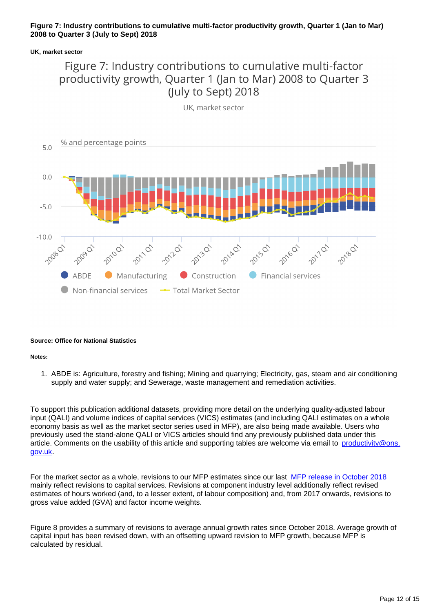### **Figure 7: Industry contributions to cumulative multi-factor productivity growth, Quarter 1 (Jan to Mar) 2008 to Quarter 3 (July to Sept) 2018**

### **UK, market sector**

# Figure 7: Industry contributions to cumulative multi-factor productivity growth, Quarter 1 (Jan to Mar) 2008 to Quarter 3 (July to Sept) 2018

![](_page_11_Figure_3.jpeg)

#### **Source: Office for National Statistics**

**Notes:**

1. ABDE is: Agriculture, forestry and fishing; Mining and quarrying; Electricity, gas, steam and air conditioning supply and water supply; and Sewerage, waste management and remediation activities.

To support this publication additional datasets, providing more detail on the underlying quality-adjusted labour input (QALI) and volume indices of capital services (VICS) estimates (and including QALI estimates on a whole economy basis as well as the market sector series used in MFP), are also being made available. Users who previously used the stand-alone QALI or VICS articles should find any previously published data under this article. Comments on the usability of this article and supporting tables are welcome via email to [productivity@ons.](http://mailto:productivity@ons.gov.uk) [gov.uk.](http://mailto:productivity@ons.gov.uk)

For the market sector as a whole, revisions to our MFP estimates since our last [MFP release in October 2018](https://www.ons.gov.uk/economy/economicoutputandproductivity/productivitymeasures/articles/multifactorproductivityestimates/experimentalestimatestoquarter2apriltojune2018) mainly reflect revisions to capital services. Revisions at component industry level additionally reflect revised estimates of hours worked (and, to a lesser extent, of labour composition) and, from 2017 onwards, revisions to gross value added (GVA) and factor income weights.

Figure 8 provides a summary of revisions to average annual growth rates since October 2018. Average growth of capital input has been revised down, with an offsetting upward revision to MFP growth, because MFP is calculated by residual.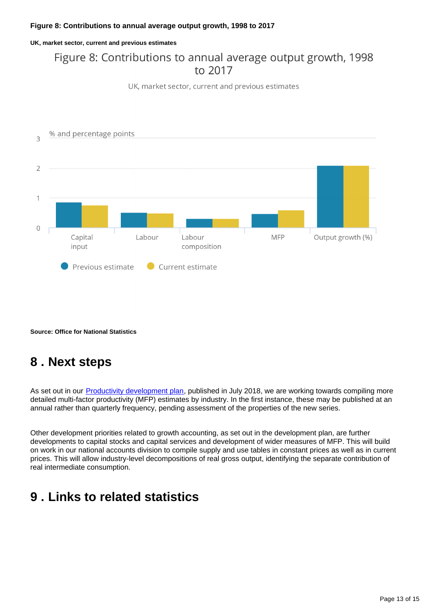### **Figure 8: Contributions to annual average output growth, 1998 to 2017**

**UK, market sector, current and previous estimates**

# Figure 8: Contributions to annual average output growth, 1998 to 2017

UK, market sector, current and previous estimates

![](_page_12_Figure_4.jpeg)

**Source: Office for National Statistics**

# <span id="page-12-0"></span>**8 . Next steps**

As set out in our [Productivity development plan,](https://www.ons.gov.uk/economy/economicoutputandproductivity/productivitymeasures/articles/productivitydevelopmentplan/2018to2020#toc) published in July 2018, we are working towards compiling more detailed multi-factor productivity (MFP) estimates by industry. In the first instance, these may be published at an annual rather than quarterly frequency, pending assessment of the properties of the new series.

Other development priorities related to growth accounting, as set out in the development plan, are further developments to capital stocks and capital services and development of wider measures of MFP. This will build on work in our national accounts division to compile supply and use tables in constant prices as well as in current prices. This will allow industry-level decompositions of real gross output, identifying the separate contribution of real intermediate consumption.

# <span id="page-12-1"></span>**9 . Links to related statistics**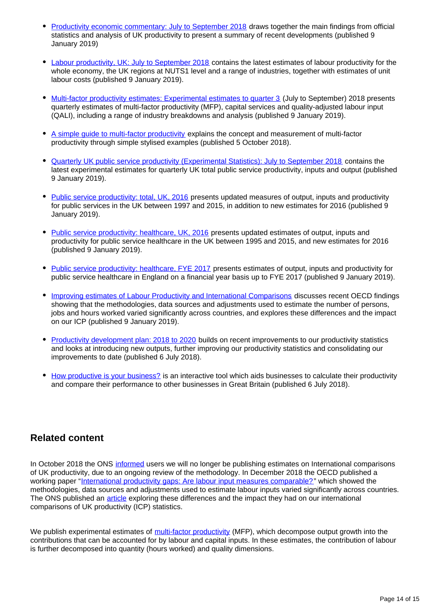- [Productivity economic commentary: July to September 2018](https://www.ons.gov.uk/employmentandlabourmarket/peopleinwork/labourproductivity/articles/ukproductivityintroduction/julytoseptember2018) draws together the main findings from official statistics and analysis of UK productivity to present a summary of recent developments (published 9 January 2019)
- [Labour productivity, UK: July to September 2018](https://www.ons.gov.uk/employmentandlabourmarket/peopleinwork/labourproductivity/bulletins/labourproductivity/julytoseptember2018) contains the latest estimates of labour productivity for the whole economy, the UK regions at NUTS1 level and a range of industries, together with estimates of unit labour costs (published 9 January 2019).
- [Multi-factor productivity estimates: Experimental estimates to quarter 3](https://www.ons.gov.uk/economy/economicoutputandproductivity/productivitymeasures/articles/multifactorproductivityestimates/experimentalestimatestoquarter3julytoseptember2018) (July to September) 2018 presents quarterly estimates of multi-factor productivity (MFP), capital services and quality-adjusted labour input (QALI), including a range of industry breakdowns and analysis (published 9 January 2019).
- [A simple guide to multi-factor productivity](https://www.ons.gov.uk/economy/economicoutputandproductivity/productivitymeasures/methodologies/asimpleguidetomultifactorproductivity) explains the concept and measurement of multi-factor productivity through simple stylised examples (published 5 October 2018).
- [Quarterly UK public service productivity \(Experimental Statistics\): July to September 2018](https://www.ons.gov.uk/employmentandlabourmarket/peopleinwork/labourproductivity/articles/quarterlypublicserviceproductivityexperimentalstatistics/julytoseptember2018) contains the latest experimental estimates for quarterly UK total public service productivity, inputs and output (published 9 January 2019).
- [Public service productivity: total, UK, 2016](https://www.ons.gov.uk/economy/economicoutputandproductivity/publicservicesproductivity/articles/publicservicesproductivityestimatestotalpublicservices/2016) presents updated measures of output, inputs and productivity for public services in the UK between 1997 and 2015, in addition to new estimates for 2016 (published 9 January 2019).
- [Public service productivity: healthcare, UK, 2016](https://www.ons.gov.uk/economy/economicoutputandproductivity/publicservicesproductivity/articles/publicservicesproductivityestimateshealthcare/2016) presents updated estimates of output, inputs and productivity for public service healthcare in the UK between 1995 and 2015, and new estimates for 2016 (published 9 January 2019).
- [Public service productivity: healthcare, FYE 2017](https://www.ons.gov.uk/economy/economicoutputandproductivity/publicservicesproductivity/articles/publicservicesproductivityestimateshealthcare/healthcare2017) presents estimates of output, inputs and productivity for public service healthcare in England on a financial year basis up to FYE 2017 (published 9 January 2019).
- [Improving estimates of Labour Productivity and International Comparisons](https://www.ons.gov.uk/economy/economicoutputandproductivity/productivitymeasures/articles/improvingestimatesoflabourproductivityandinternationalcomparisons/2019-01-09) discusses recent OECD findings showing that the methodologies, data sources and adjustments used to estimate the number of persons, jobs and hours worked varied significantly across countries, and explores these differences and the impact on our ICP (published 9 January 2019).
- [Productivity development plan: 2018 to 2020](https://www.ons.gov.uk/economy/economicoutputandproductivity/productivitymeasures/articles/productivitydevelopmentplan/2018to2020) builds on recent improvements to our productivity statistics and looks at introducing new outputs, further improving our productivity statistics and consolidating our improvements to date (published 6 July 2018).
- [How productive is your business?](https://www.ons.gov.uk/employmentandlabourmarket/peopleinwork/labourproductivity/articles/howproductiveisyourbusiness/2018-07-06) is an interactive tool which aids businesses to calculate their productivity and compare their performance to other businesses in Great Britain (published 6 July 2018).

## **Related content**

In October 2018 the ONS [informed](https://www.ons.gov.uk/employmentandlabourmarket/peopleinwork/labourproductivity/articles/ukproductivityintroduction/apriltojune2018) users we will no longer be publishing estimates on International comparisons of UK productivity, due to an ongoing review of the methodology. In December 2018 the OECD published a working paper "[International productivity gaps: Are labour input measures comparable?"](https://www.oecd-ilibrary.org/economics/international-productivity-gaps_5b43c728-en) which showed the methodologies, data sources and adjustments used to estimate labour inputs varied significantly across countries. The ONS published an [article](https://www.ons.gov.uk/economy/economicoutputandproductivity/productivitymeasures/articles/improvingestimatesoflabourproductivityandinternationalcomparisons/2019-01-09) exploring these differences and the impact they had on our international comparisons of UK productivity (ICP) statistics.

We publish experimental estimates of [multi-factor productivity](https://www.ons.gov.uk/economy/economicoutputandproductivity/productivitymeasures/articles/multifactorproductivityestimates/previousReleases) (MFP), which decompose output growth into the contributions that can be accounted for by labour and capital inputs. In these estimates, the contribution of labour is further decomposed into quantity (hours worked) and quality dimensions.